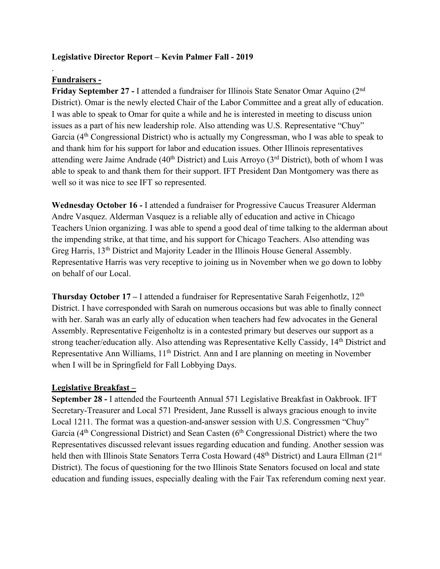### **Legislative Director Report – Kevin Palmer Fall - 2019**

## **Fundraisers -**

.

**Friday September 27 -** I attended a fundraiser for Illinois State Senator Omar Aquino (2nd District). Omar is the newly elected Chair of the Labor Committee and a great ally of education. I was able to speak to Omar for quite a while and he is interested in meeting to discuss union issues as a part of his new leadership role. Also attending was U.S. Representative "Chuy" Garcia (4th Congressional District) who is actually my Congressman, who I was able to speak to and thank him for his support for labor and education issues. Other Illinois representatives attending were Jaime Andrade ( $40<sup>th</sup>$  District) and Luis Arroyo ( $3<sup>rd</sup>$  District), both of whom I was able to speak to and thank them for their support. IFT President Dan Montgomery was there as well so it was nice to see IFT so represented.

**Wednesday October 16 -** I attended a fundraiser for Progressive Caucus Treasurer Alderman Andre Vasquez. Alderman Vasquez is a reliable ally of education and active in Chicago Teachers Union organizing. I was able to spend a good deal of time talking to the alderman about the impending strike, at that time, and his support for Chicago Teachers. Also attending was Greg Harris, 13th District and Majority Leader in the Illinois House General Assembly. Representative Harris was very receptive to joining us in November when we go down to lobby on behalf of our Local.

**Thursday October 17 – I** attended a fundraiser for Representative Sarah Feigenhotlz, 12<sup>th</sup> District. I have corresponded with Sarah on numerous occasions but was able to finally connect with her. Sarah was an early ally of education when teachers had few advocates in the General Assembly. Representative Feigenholtz is in a contested primary but deserves our support as a strong teacher/education ally. Also attending was Representative Kelly Cassidy, 14th District and Representative Ann Williams, 11<sup>th</sup> District. Ann and I are planning on meeting in November when I will be in Springfield for Fall Lobbying Days.

#### **Legislative Breakfast –**

**September 28 -** I attended the Fourteenth Annual 571 Legislative Breakfast in Oakbrook. IFT Secretary-Treasurer and Local 571 President, Jane Russell is always gracious enough to invite Local 1211. The format was a question-and-answer session with U.S. Congressmen "Chuy" Garcia ( $4<sup>th</sup>$  Congressional District) and Sean Casten ( $6<sup>th</sup>$  Congressional District) where the two Representatives discussed relevant issues regarding education and funding. Another session was held then with Illinois State Senators Terra Costa Howard (48<sup>th</sup> District) and Laura Ellman (21<sup>st</sup> District). The focus of questioning for the two Illinois State Senators focused on local and state education and funding issues, especially dealing with the Fair Tax referendum coming next year.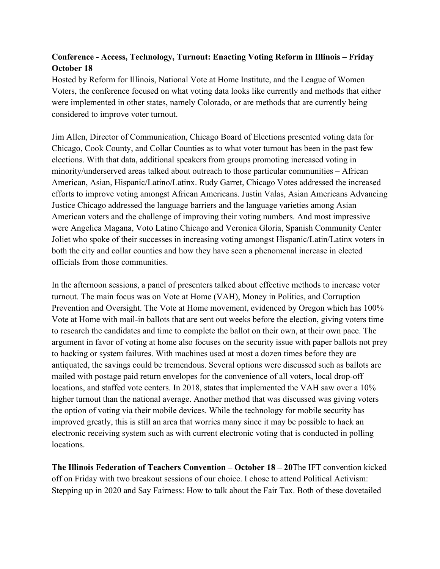# **Conference - Access, Technology, Turnout: Enacting Voting Reform in Illinois – Friday October 18**

Hosted by Reform for Illinois, National Vote at Home Institute, and the League of Women Voters, the conference focused on what voting data looks like currently and methods that either were implemented in other states, namely Colorado, or are methods that are currently being considered to improve voter turnout.

Jim Allen, Director of Communication, Chicago Board of Elections presented voting data for Chicago, Cook County, and Collar Counties as to what voter turnout has been in the past few elections. With that data, additional speakers from groups promoting increased voting in minority/underserved areas talked about outreach to those particular communities – African American, Asian, Hispanic/Latino/Latinx. Rudy Garret, Chicago Votes addressed the increased efforts to improve voting amongst African Americans. Justin Valas, Asian Americans Advancing Justice Chicago addressed the language barriers and the language varieties among Asian American voters and the challenge of improving their voting numbers. And most impressive were Angelica Magana, Voto Latino Chicago and Veronica Gloria, Spanish Community Center Joliet who spoke of their successes in increasing voting amongst Hispanic/Latin/Latinx voters in both the city and collar counties and how they have seen a phenomenal increase in elected officials from those communities.

In the afternoon sessions, a panel of presenters talked about effective methods to increase voter turnout. The main focus was on Vote at Home (VAH), Money in Politics, and Corruption Prevention and Oversight. The Vote at Home movement, evidenced by Oregon which has 100% Vote at Home with mail-in ballots that are sent out weeks before the election, giving voters time to research the candidates and time to complete the ballot on their own, at their own pace. The argument in favor of voting at home also focuses on the security issue with paper ballots not prey to hacking or system failures. With machines used at most a dozen times before they are antiquated, the savings could be tremendous. Several options were discussed such as ballots are mailed with postage paid return envelopes for the convenience of all voters, local drop-off locations, and staffed vote centers. In 2018, states that implemented the VAH saw over a 10% higher turnout than the national average. Another method that was discussed was giving voters the option of voting via their mobile devices. While the technology for mobile security has improved greatly, this is still an area that worries many since it may be possible to hack an electronic receiving system such as with current electronic voting that is conducted in polling locations.

**The Illinois Federation of Teachers Convention – October 18 – 20**The IFT convention kicked off on Friday with two breakout sessions of our choice. I chose to attend Political Activism: Stepping up in 2020 and Say Fairness: How to talk about the Fair Tax. Both of these dovetailed